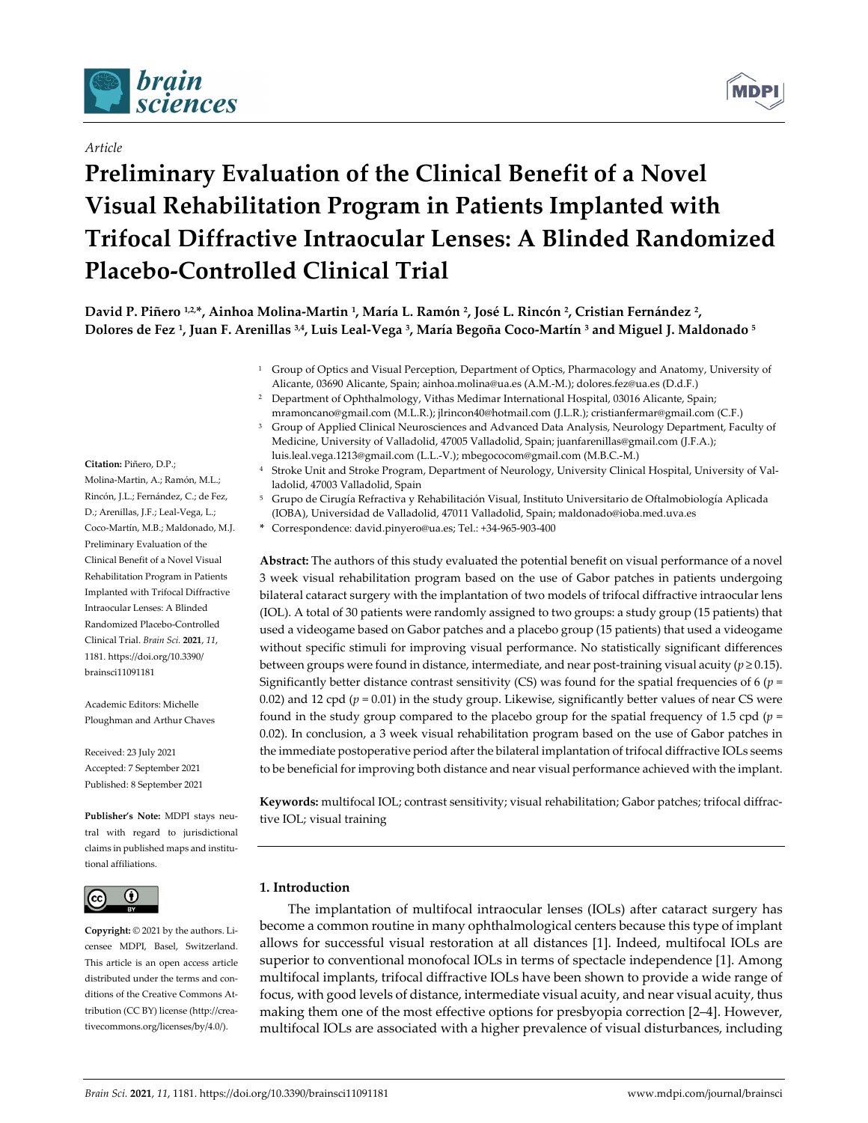

## *Article*

# **Preliminary Evaluation of the Clinical Benefit of a Novel Visual Rehabilitation Program in Patients Implanted with Trifocal Diffractive Intraocular Lenses: A Blinded Randomized Placebo‐Controlled Clinical Trial**

David P. Piñero <sup>1,2</sup>\*, Ainhoa Molina-Martin <sup>1</sup>, María L. Ramón <sup>2</sup>, José L. Rincón <sup>2</sup>, Cristian Fernández <sup>2</sup>, Dolores de Fez<sup>1</sup>, Juan F. Arenillas <sup>3,4</sup>, Luis Leal-Vega <sup>3</sup>, María Begoña Coco-Martín <sup>3</sup> and Miguel J. Maldonado <sup>5</sup>

- <sup>1</sup> Group of Optics and Visual Perception, Department of Optics, Pharmacology and Anatomy, University of Alicante, 03690 Alicante, Spain; ainhoa.molina@ua.es (A.M.‐M.); dolores.fez@ua.es (D.d.F.)
- <sup>2</sup> Department of Ophthalmology, Vithas Medimar International Hospital, 03016 Alicante, Spain; mramoncano@gmail.com (M.L.R.); jlrincon40@hotmail.com (J.L.R.); cristianfermar@gmail.com (C.F.)
- <sup>3</sup> Group of Applied Clinical Neurosciences and Advanced Data Analysis, Neurology Department, Faculty of Medicine, University of Valladolid, 47005 Valladolid, Spain; juanfarenillas@gmail.com (J.F.A.); luis.leal.vega.1213@gmail.com (L.L.‐V.); mbegococom@gmail.com (M.B.C.‐M.)
- <sup>4</sup> Stroke Unit and Stroke Program, Department of Neurology, University Clinical Hospital, University of Val‐ ladolid, 47003 Valladolid, Spain
- <sup>5</sup> Grupo de Cirugía Refractiva y Rehabilitación Visual, Instituto Universitario de Oftalmobiología Aplicada (IOBA), Universidad de Valladolid, 47011 Valladolid, Spain; maldonado@ioba.med.uva.es
- **\*** Correspondence: david.pinyero@ua.es; Tel.: +34‐965‐903‐400

**Abstract:** The authors of this study evaluated the potential benefit on visual performance of a novel 3 week visual rehabilitation program based on the use of Gabor patches in patients undergoing bilateral cataract surgery with the implantation of two models of trifocal diffractive intraocular lens (IOL). A total of 30 patients were randomly assigned to two groups: a study group (15 patients) that used a videogame based on Gabor patches and a placebo group (15 patients) that used a videogame without specific stimuli for improving visual performance. No statistically significant differences between groups were found in distance, intermediate, and near post-training visual acuity ( $p \ge 0.15$ ). Significantly better distance contrast sensitivity (CS) was found for the spatial frequencies of 6 (*p* = 0.02) and 12 cpd ( $p = 0.01$ ) in the study group. Likewise, significantly better values of near CS were found in the study group compared to the placebo group for the spatial frequency of 1.5 cpd (*p* = 0.02). In conclusion, a 3 week visual rehabilitation program based on the use of Gabor patches in the immediate postoperative period after the bilateral implantation of trifocal diffractive IOLs seems to be beneficial for improving both distance and near visual performance achieved with the implant.

**Keywords:** multifocal IOL; contrast sensitivity; visual rehabilitation; Gabor patches; trifocal diffrac‐ tive IOL; visual training

## **1. Introduction**

The implantation of multifocal intraocular lenses (IOLs) after cataract surgery has become a common routine in many ophthalmological centers because this type of implant allows for successful visual restoration at all distances [1]. Indeed, multifocal IOLs are superior to conventional monofocal IOLs in terms of spectacle independence [1]. Among multifocal implants, trifocal diffractive IOLs have been shown to provide a wide range of focus, with good levels of distance, intermediate visual acuity, and near visual acuity, thus making them one of the most effective options for presbyopia correction [2–4]. However, multifocal IOLs are associated with a higher prevalence of visual disturbances, including

#### **Citation:** Piñero, D.P.;

Molina‐Martin, A.; Ramón, M.L.; Rincón, J.L.; Fernández, C.; de Fez, D.; Arenillas, J.F.; Leal‐Vega, L.; Coco‐Martín, M.B.; Maldonado, M.J. Preliminary Evaluation of the Clinical Benefit of a Novel Visual Rehabilitation Program in Patients Implanted with Trifocal Diffractive Intraocular Lenses: A Blinded Randomized Placebo‐Controlled Clinical Trial. *Brain Sci.* **2021**, *11*, 1181. https://doi.org/10.3390/ brainsci11091181

Academic Editors: Michelle Ploughman and Arthur Chaves

Received: 23 July 2021 Accepted: 7 September 2021 Published: 8 September 2021

**Publisher's Note:** MDPI stays neu‐ tral with regard to jurisdictional claims in published maps and institu‐ tional affiliations.



**Copyright:** © 2021 by the authors. Li‐ censee MDPI, Basel, Switzerland. This article is an open access article distributed under the terms and conditions of the Creative Commons At‐ tribution (CC BY) license (http://crea‐ tivecommons.org/licenses/by/4.0/).

**MDP**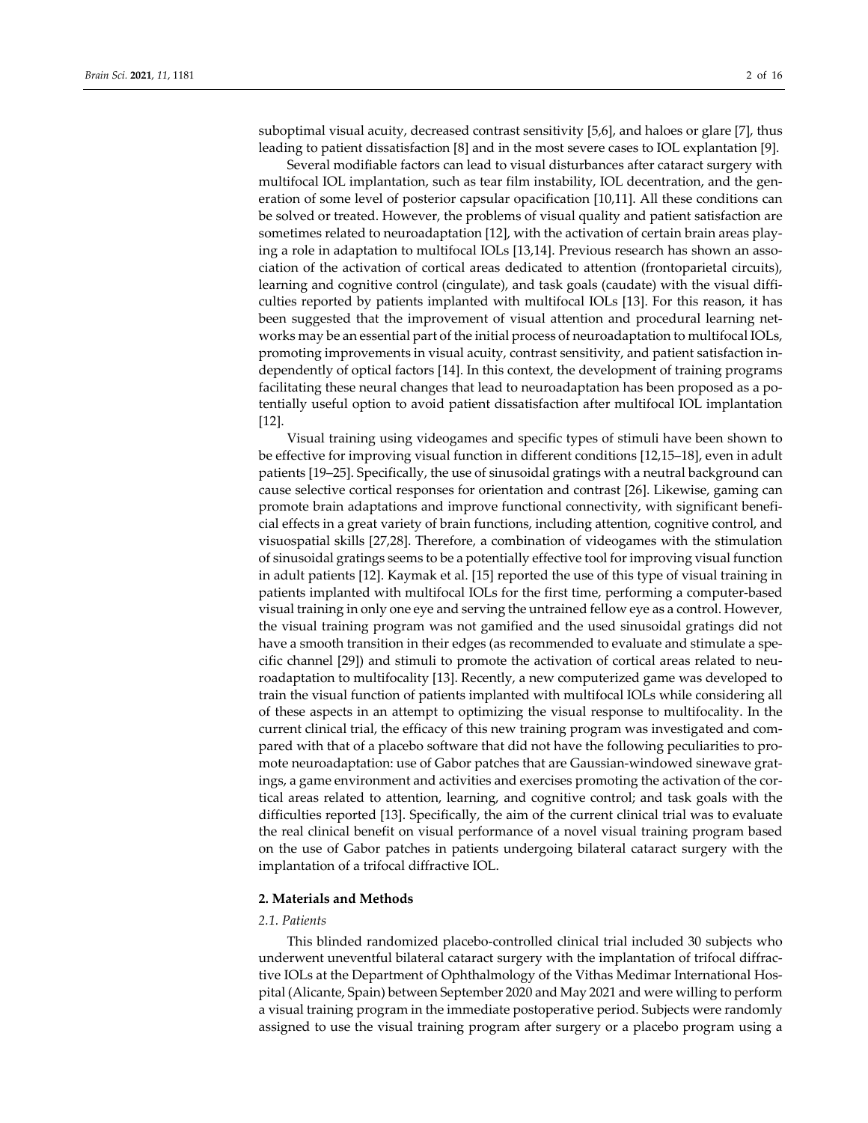suboptimal visual acuity, decreased contrast sensitivity [5,6], and haloes or glare [7], thus leading to patient dissatisfaction [8] and in the most severe cases to IOL explantation [9].

Several modifiable factors can lead to visual disturbances after cataract surgery with multifocal IOL implantation, such as tear film instability, IOL decentration, and the generation of some level of posterior capsular opacification [10,11]. All these conditions can be solved or treated. However, the problems of visual quality and patient satisfaction are sometimes related to neuroadaptation [12], with the activation of certain brain areas playing a role in adaptation to multifocal IOLs [13,14]. Previous research has shown an association of the activation of cortical areas dedicated to attention (frontoparietal circuits), learning and cognitive control (cingulate), and task goals (caudate) with the visual diffi‐ culties reported by patients implanted with multifocal IOLs [13]. For this reason, it has been suggested that the improvement of visual attention and procedural learning networks may be an essential part of the initial process of neuroadaptation to multifocal IOLs, promoting improvements in visual acuity, contrast sensitivity, and patient satisfaction in‐ dependently of optical factors [14]. In this context, the development of training programs facilitating these neural changes that lead to neuroadaptation has been proposed as a potentially useful option to avoid patient dissatisfaction after multifocal IOL implantation [12].

Visual training using videogames and specific types of stimuli have been shown to be effective for improving visual function in different conditions [12,15–18], even in adult patients [19–25]. Specifically, the use of sinusoidal gratings with a neutral background can cause selective cortical responses for orientation and contrast [26]. Likewise, gaming can promote brain adaptations and improve functional connectivity, with significant benefi‐ cial effects in a great variety of brain functions, including attention, cognitive control, and visuospatial skills [27,28]. Therefore, a combination of videogames with the stimulation of sinusoidal gratings seems to be a potentially effective tool forimproving visual function in adult patients [12]. Kaymak et al. [15] reported the use of this type of visual training in patients implanted with multifocal IOLs for the first time, performing a computer‐based visual training in only one eye and serving the untrained fellow eye as a control. However, the visual training program was not gamified and the used sinusoidal gratings did not have a smooth transition in their edges (as recommended to evaluate and stimulate a specific channel [29]) and stimuli to promote the activation of cortical areas related to neu‐ roadaptation to multifocality [13]. Recently, a new computerized game was developed to train the visual function of patients implanted with multifocal IOLs while considering all of these aspects in an attempt to optimizing the visual response to multifocality. In the current clinical trial, the efficacy of this new training program was investigated and com‐ pared with that of a placebo software that did not have the following peculiarities to pro‐ mote neuroadaptation: use of Gabor patches that are Gaussian‐windowed sinewave grat‐ ings, a game environment and activities and exercises promoting the activation of the cortical areas related to attention, learning, and cognitive control; and task goals with the difficulties reported [13]. Specifically, the aim of the current clinical trial was to evaluate the real clinical benefit on visual performance of a novel visual training program based on the use of Gabor patches in patients undergoing bilateral cataract surgery with the implantation of a trifocal diffractive IOL.

## **2. Materials and Methods**

## *2.1. Patients*

This blinded randomized placebo‐controlled clinical trial included 30 subjects who underwent uneventful bilateral cataract surgery with the implantation of trifocal diffrac‐ tive IOLs at the Department of Ophthalmology of the Vithas Medimar International Hos‐ pital (Alicante, Spain) between September 2020 and May 2021 and were willing to perform a visual training program in the immediate postoperative period. Subjects were randomly assigned to use the visual training program after surgery or a placebo program using a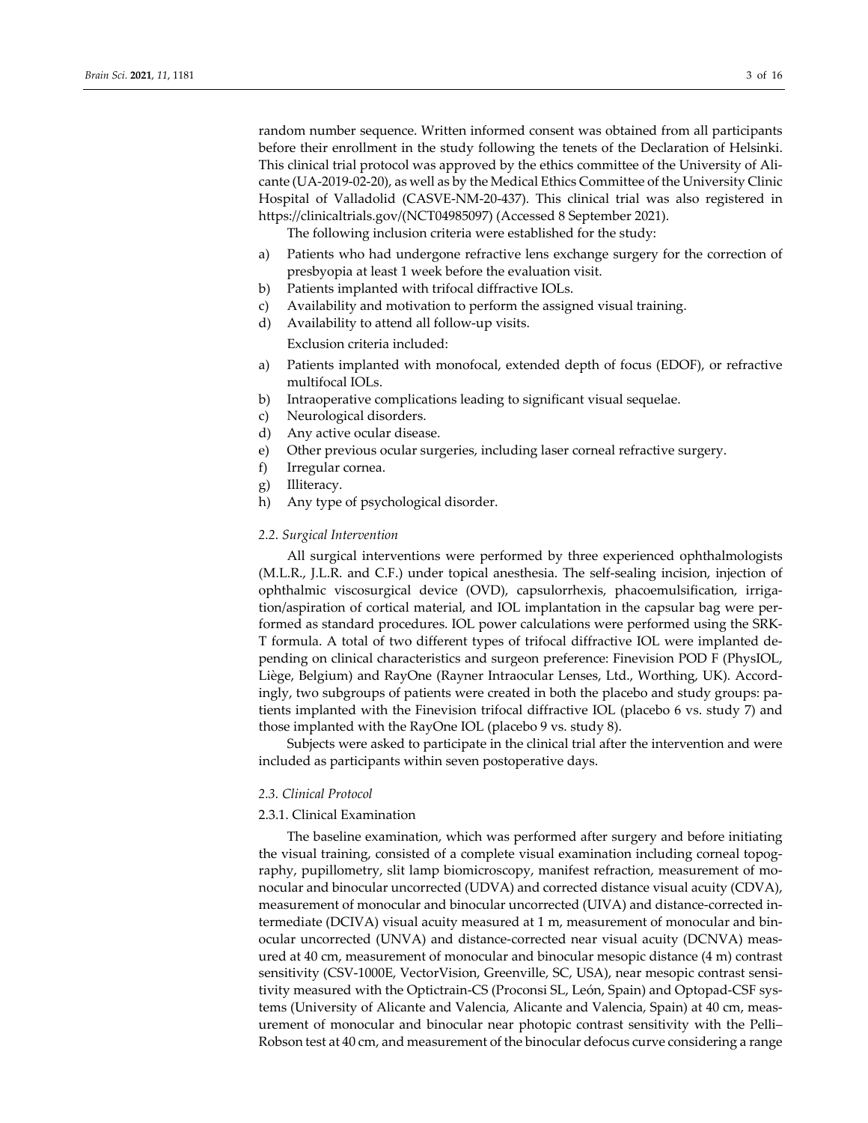random number sequence. Written informed consent was obtained from all participants before their enrollment in the study following the tenets of the Declaration of Helsinki. This clinical trial protocol was approved by the ethics committee of the University of Ali‐ cante (UA‐2019‐02‐20), as well as by the Medical Ethics Committee of the University Clinic Hospital of Valladolid (CASVE‐NM‐20‐437). This clinical trial was also registered in https://clinicaltrials.gov/(NCT04985097) (Accessed 8 September 2021).

The following inclusion criteria were established for the study:

- a) Patients who had undergone refractive lens exchange surgery for the correction of presbyopia at least 1 week before the evaluation visit.
- b) Patients implanted with trifocal diffractive IOLs.
- c) Availability and motivation to perform the assigned visual training.
- d) Availability to attend all follow‐up visits. Exclusion criteria included:
	-
- a) Patients implanted with monofocal, extended depth of focus (EDOF), or refractive multifocal IOLs.
- b) Intraoperative complications leading to significant visual sequelae.
- c) Neurological disorders.
- d) Any active ocular disease.
- e) Other previous ocular surgeries, including laser corneal refractive surgery.
- f) Irregular cornea.
- g) Illiteracy.
- h) Any type of psychological disorder.

#### *2.2. Surgical Intervention*

All surgical interventions were performed by three experienced ophthalmologists (M.L.R., J.L.R. and C.F.) under topical anesthesia. The self‐sealing incision, injection of ophthalmic viscosurgical device (OVD), capsulorrhexis, phacoemulsification, irriga‐ tion/aspiration of cortical material, and IOL implantation in the capsular bag were per‐ formed as standard procedures. IOL power calculations were performed using the SRK‐ T formula. A total of two different types of trifocal diffractive IOL were implanted de‐ pending on clinical characteristics and surgeon preference: Finevision POD F (PhysIOL, Liège, Belgium) and RayOne (Rayner Intraocular Lenses, Ltd., Worthing, UK). Accord‐ ingly, two subgroups of patients were created in both the placebo and study groups: pa‐ tients implanted with the Finevision trifocal diffractive IOL (placebo 6 vs. study 7) and those implanted with the RayOne IOL (placebo 9 vs. study 8).

Subjects were asked to participate in the clinical trial after the intervention and were included as participants within seven postoperative days.

## *2.3. Clinical Protocol*

#### 2.3.1. Clinical Examination

The baseline examination, which was performed after surgery and before initiating the visual training, consisted of a complete visual examination including corneal topog‐ raphy, pupillometry, slit lamp biomicroscopy, manifest refraction, measurement of monocular and binocular uncorrected (UDVA) and corrected distance visual acuity (CDVA), measurement of monocular and binocular uncorrected (UIVA) and distance‐corrected in‐ termediate (DCIVA) visual acuity measured at 1 m, measurement of monocular and bin‐ ocular uncorrected (UNVA) and distance‐corrected near visual acuity (DCNVA) meas‐ ured at 40 cm, measurement of monocular and binocular mesopic distance (4 m) contrast sensitivity (CSV-1000E, VectorVision, Greenville, SC, USA), near mesopic contrast sensitivity measured with the Optictrain-CS (Proconsi SL, León, Spain) and Optopad-CSF systems (University of Alicante and Valencia, Alicante and Valencia, Spain) at 40 cm, meas‐ urement of monocular and binocular near photopic contrast sensitivity with the Pelli– Robson test at 40 cm, and measurement of the binocular defocus curve considering a range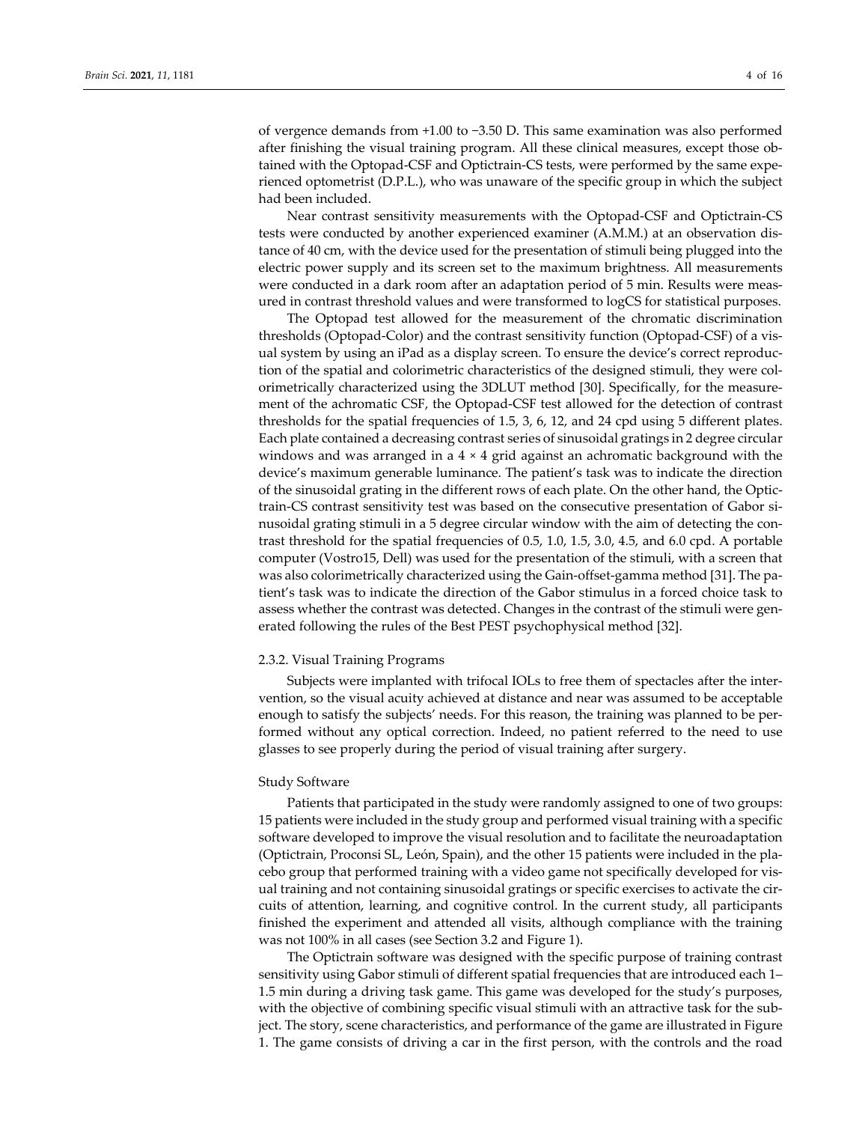of vergence demands from +1.00 to −3.50 D. This same examination was also performed after finishing the visual training program. All these clinical measures, except those ob‐ tained with the Optopad‐CSF and Optictrain‐CS tests, were performed by the same expe‐ rienced optometrist (D.P.L.), who was unaware of the specific group in which the subject had been included.

Near contrast sensitivity measurements with the Optopad‐CSF and Optictrain‐CS tests were conducted by another experienced examiner (A.M.M.) at an observation dis‐ tance of 40 cm, with the device used for the presentation of stimuli being plugged into the electric power supply and its screen set to the maximum brightness. All measurements were conducted in a dark room after an adaptation period of 5 min. Results were measured in contrast threshold values and were transformed to logCS for statistical purposes.

The Optopad test allowed for the measurement of the chromatic discrimination thresholds (Optopad‐Color) and the contrast sensitivity function (Optopad‐CSF) of a vis‐ ual system by using an iPad as a display screen. To ensure the device's correct reproduc‐ tion of the spatial and colorimetric characteristics of the designed stimuli, they were col‐ orimetrically characterized using the 3DLUT method [30]. Specifically, for the measure‐ ment of the achromatic CSF, the Optopad‐CSF test allowed for the detection of contrast thresholds for the spatial frequencies of 1.5, 3, 6, 12, and 24 cpd using 5 different plates. Each plate contained a decreasing contrast series of sinusoidal gratings in 2 degree circular windows and was arranged in a  $4 \times 4$  grid against an achromatic background with the device's maximum generable luminance. The patient's task was to indicate the direction of the sinusoidal grating in the different rows of each plate. On the other hand, the Optic‐ train-CS contrast sensitivity test was based on the consecutive presentation of Gabor sinusoidal grating stimuli in a 5 degree circular window with the aim of detecting the contrast threshold for the spatial frequencies of 0.5, 1.0, 1.5, 3.0, 4.5, and 6.0 cpd. A portable computer (Vostro15, Dell) was used for the presentation of the stimuli, with a screen that was also colorimetrically characterized using the Gain-offset-gamma method [31]. The patient's task was to indicate the direction of the Gabor stimulus in a forced choice task to assess whether the contrast was detected. Changes in the contrast of the stimuli were generated following the rules of the Best PEST psychophysical method [32].

## 2.3.2. Visual Training Programs

Subjects were implanted with trifocal IOLs to free them of spectacles after the inter‐ vention, so the visual acuity achieved at distance and near was assumed to be acceptable enough to satisfy the subjects' needs. For this reason, the training was planned to be per‐ formed without any optical correction. Indeed, no patient referred to the need to use glasses to see properly during the period of visual training after surgery.

## Study Software

Patients that participated in the study were randomly assigned to one of two groups: 15 patients were included in the study group and performed visual training with a specific software developed to improve the visual resolution and to facilitate the neuroadaptation (Optictrain, Proconsi SL, León, Spain), and the other 15 patients were included in the pla‐ cebo group that performed training with a video game not specifically developed for vis‐ ual training and not containing sinusoidal gratings or specific exercises to activate the circuits of attention, learning, and cognitive control. In the current study, all participants finished the experiment and attended all visits, although compliance with the training was not 100% in all cases (see Section 3.2 and Figure 1).

The Optictrain software was designed with the specific purpose of training contrast sensitivity using Gabor stimuli of different spatial frequencies that are introduced each 1– 1.5 min during a driving task game. This game was developed for the study's purposes, with the objective of combining specific visual stimuli with an attractive task for the subject. The story, scene characteristics, and performance of the game are illustrated in Figure 1. The game consists of driving a car in the first person, with the controls and the road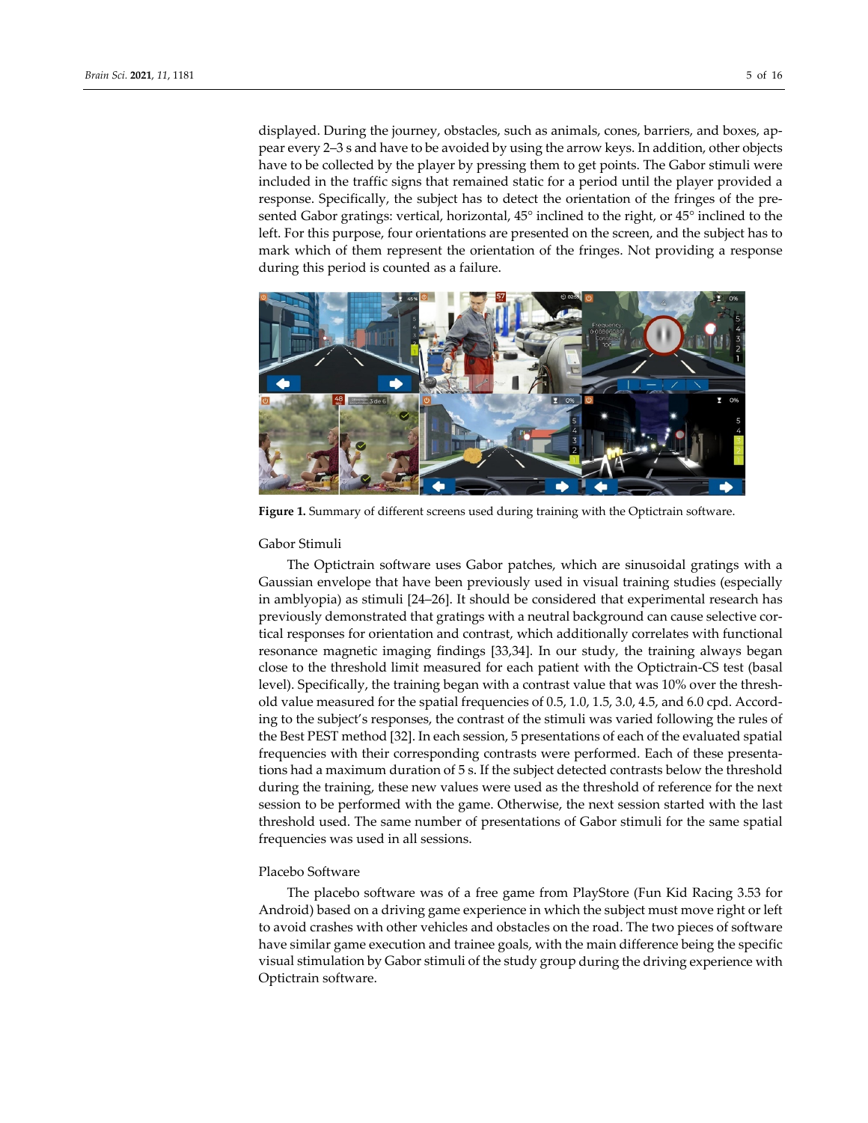displayed. During the journey, obstacles, such as animals, cones, barriers, and boxes, ap‐ pear every 2–3 s and have to be avoided by using the arrow keys. In addition, other objects have to be collected by the player by pressing them to get points. The Gabor stimuli were included in the traffic signs that remained static for a period until the player provided a response. Specifically, the subject has to detect the orientation of the fringes of the pre‐ sented Gabor gratings: vertical, horizontal, 45° inclined to the right, or 45° inclined to the left. For this purpose, four orientations are presented on the screen, and the subject has to mark which of them represent the orientation of the fringes. Not providing a response during this period is counted as a failure.



**Figure 1.** Summary of different screens used during training with the Optictrain software.

#### Gabor Stimuli

The Optictrain software uses Gabor patches, which are sinusoidal gratings with a Gaussian envelope that have been previously used in visual training studies (especially in amblyopia) as stimuli [24–26]. It should be considered that experimental research has previously demonstrated that gratings with a neutral background can cause selective cortical responses for orientation and contrast, which additionally correlates with functional resonance magnetic imaging findings [33,34]. In our study, the training always began close to the threshold limit measured for each patient with the Optictrain‐CS test (basal level). Specifically, the training began with a contrast value that was 10% over the threshold value measured for the spatial frequencies of 0.5, 1.0, 1.5, 3.0, 4.5, and 6.0 cpd. According to the subject's responses, the contrast of the stimuli was varied following the rules of the Best PEST method [32]. In each session, 5 presentations of each of the evaluated spatial frequencies with their corresponding contrasts were performed. Each of these presenta‐ tions had a maximum duration of 5 s. If the subject detected contrasts below the threshold during the training, these new values were used as the threshold of reference for the next session to be performed with the game. Otherwise, the next session started with the last threshold used. The same number of presentations of Gabor stimuli for the same spatial frequencies was used in all sessions.

## Placebo Software

The placebo software was of a free game from PlayStore (Fun Kid Racing 3.53 for Android) based on a driving game experience in which the subject must move right or left to avoid crashes with other vehicles and obstacles on the road. The two pieces of software have similar game execution and trainee goals, with the main difference being the specific visual stimulation by Gabor stimuli of the study group during the driving experience with Optictrain software.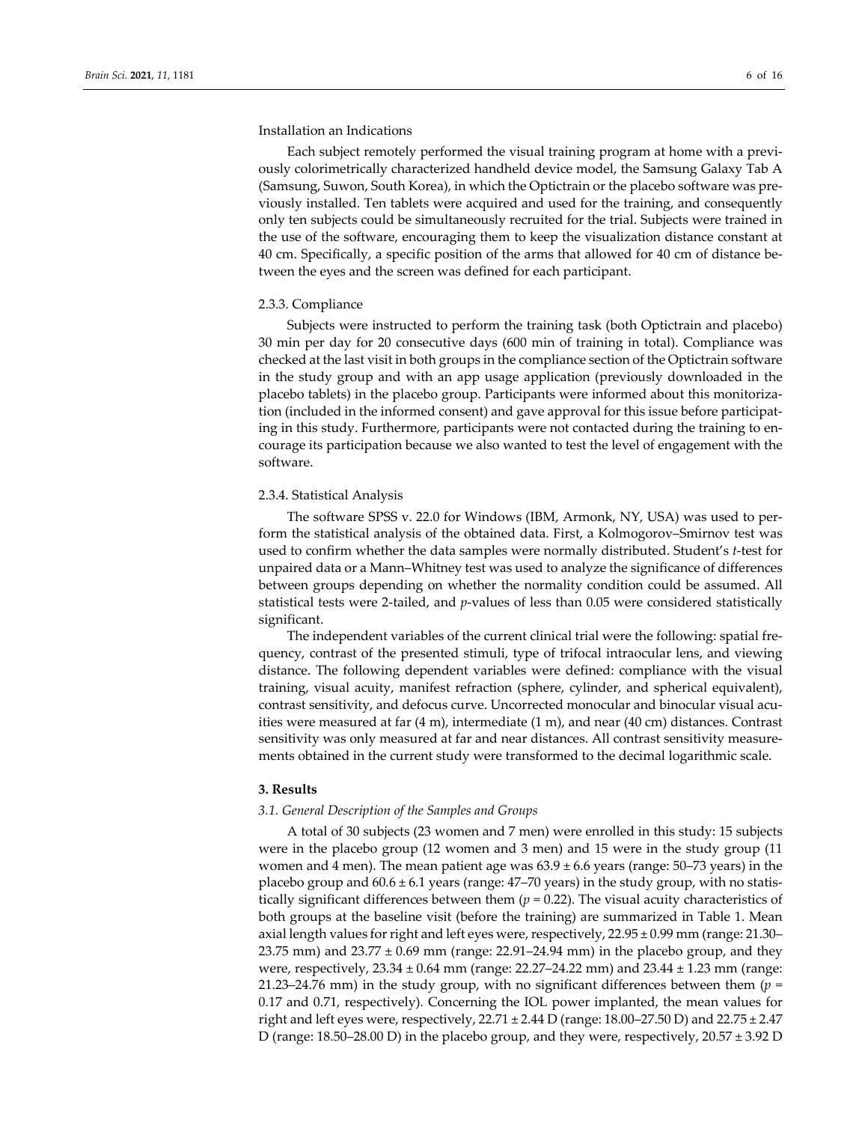### Installation an Indications

Each subject remotely performed the visual training program at home with a previously colorimetrically characterized handheld device model, the Samsung Galaxy Tab A (Samsung, Suwon, South Korea), in which the Optictrain or the placebo software was pre‐ viously installed. Ten tablets were acquired and used for the training, and consequently only ten subjects could be simultaneously recruited for the trial. Subjects were trained in the use of the software, encouraging them to keep the visualization distance constant at 40 cm. Specifically, a specific position of the arms that allowed for 40 cm of distance be‐ tween the eyes and the screen was defined for each participant.

#### 2.3.3. Compliance

Subjects were instructed to perform the training task (both Optictrain and placebo) 30 min per day for 20 consecutive days (600 min of training in total). Compliance was checked at the last visit in both groups in the compliance section of the Optictrain software in the study group and with an app usage application (previously downloaded in the placebo tablets) in the placebo group. Participants were informed about this monitoriza‐ tion (included in the informed consent) and gave approval for this issue before participat‐ ing in this study. Furthermore, participants were not contacted during the training to en‐ courage its participation because we also wanted to test the level of engagement with the software.

### 2.3.4. Statistical Analysis

The software SPSS v. 22.0 for Windows (IBM, Armonk, NY, USA) was used to per‐ form the statistical analysis of the obtained data. First, a Kolmogorov–Smirnov test was used to confirm whether the data samples were normally distributed. Student's *t*‐test for unpaired data or a Mann–Whitney test was used to analyze the significance of differences between groups depending on whether the normality condition could be assumed. All statistical tests were 2-tailed, and *p*-values of less than 0.05 were considered statistically significant.

The independent variables of the current clinical trial were the following: spatial fre‐ quency, contrast of the presented stimuli, type of trifocal intraocular lens, and viewing distance. The following dependent variables were defined: compliance with the visual training, visual acuity, manifest refraction (sphere, cylinder, and spherical equivalent), contrast sensitivity, and defocus curve. Uncorrected monocular and binocular visual acuities were measured at far (4 m), intermediate (1 m), and near (40 cm) distances. Contrast sensitivity was only measured at far and near distances. All contrast sensitivity measurements obtained in the current study were transformed to the decimal logarithmic scale.

#### **3. Results**

### *3.1. General Description of the Samples and Groups*

A total of 30 subjects (23 women and 7 men) were enrolled in this study: 15 subjects were in the placebo group (12 women and 3 men) and 15 were in the study group (11 women and 4 men). The mean patient age was  $63.9 \pm 6.6$  years (range: 50–73 years) in the placebo group and  $60.6 \pm 6.1$  years (range: 47–70 years) in the study group, with no statistically significant differences between them (*p* = 0.22). The visual acuity characteristics of both groups at the baseline visit (before the training) are summarized in Table 1. Mean axial length values for right and left eyes were, respectively, 22.95 ± 0.99 mm (range: 21.30– 23.75 mm) and  $23.77 \pm 0.69$  mm (range: 22.91–24.94 mm) in the placebo group, and they were, respectively, 23.34 ± 0.64 mm (range: 22.27–24.22 mm) and 23.44 ± 1.23 mm (range: 21.23–24.76 mm) in the study group, with no significant differences between them (*p* = 0.17 and 0.71, respectively). Concerning the IOL power implanted, the mean values for right and left eyes were, respectively,  $22.71 \pm 2.44$  D (range: 18.00–27.50 D) and  $22.75 \pm 2.47$ D (range: 18.50–28.00 D) in the placebo group, and they were, respectively, 20.57 ± 3.92 D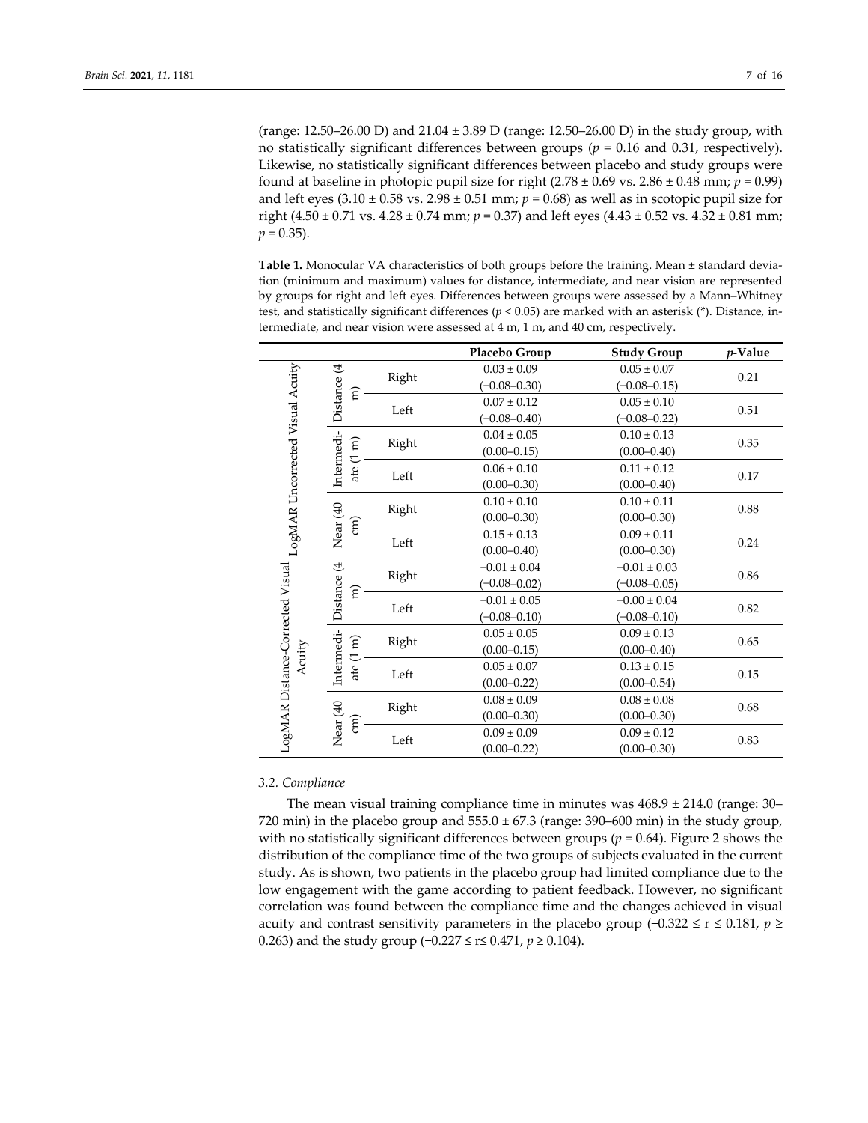(range: 12.50–26.00 D) and 21.04 ± 3.89 D (range: 12.50–26.00 D) in the study group, with no statistically significant differences between groups (*p* = 0.16 and 0.31, respectively). Likewise, no statistically significant differences between placebo and study groups were found at baseline in photopic pupil size for right  $(2.78 \pm 0.69 \text{ vs. } 2.86 \pm 0.48 \text{ mm}; \ p = 0.99)$ and left eyes  $(3.10 \pm 0.58 \text{ vs. } 2.98 \pm 0.51 \text{ mm}; p = 0.68)$  as well as in scotopic pupil size for right (4.50  $\pm$  0.71 vs. 4.28  $\pm$  0.74 mm; *p* = 0.37) and left eyes (4.43  $\pm$  0.52 vs. 4.32  $\pm$  0.81 mm;  $p = 0.35$ ).

Table 1. Monocular VA characteristics of both groups before the training. Mean ± standard deviation (minimum and maximum) values for distance, intermediate, and near vision are represented by groups for right and left eyes. Differences between groups were assessed by a Mann–Whitney test, and statistically significant differences (*p* < 0.05) are marked with an asterisk (\*). Distance, in‐ termediate, and near vision were assessed at 4 m, 1 m, and 40 cm, respectively.

|                                  |                                           |                                | Placebo Group    | <b>Study Group</b> | $p$ -Value |
|----------------------------------|-------------------------------------------|--------------------------------|------------------|--------------------|------------|
| LogMAR Uncorrected Visual Acuity |                                           | Right                          | $0.03 \pm 0.09$  | $0.05 \pm 0.07$    | 0.21       |
|                                  |                                           |                                | $(-0.08 - 0.30)$ | $(-0.08 - 0.15)$   |            |
|                                  | Distance (4<br>हि                         | Left                           | $0.07 \pm 0.12$  | $0.05 \pm 0.10$    | 0.51       |
|                                  |                                           |                                | $(-0.08 - 0.40)$ | $(-0.08 - 0.22)$   |            |
|                                  |                                           | Right                          | $0.04 \pm 0.05$  | $0.10\pm0.13$      | 0.35       |
|                                  | Intermedi-<br>$\widehat{\texttt{m}}$<br>J |                                | $(0.00 - 0.15)$  | $(0.00 - 0.40)$    |            |
|                                  | ate                                       | Left                           | $0.06 \pm 0.10$  | $0.11 \pm 0.12$    | 0.17       |
|                                  |                                           |                                | $(0.00 - 0.30)$  | $(0.00 - 0.40)$    |            |
|                                  |                                           |                                | $0.10 \pm 0.10$  | $0.10 \pm 0.11$    | 0.88       |
|                                  | $\widehat{E}$                             | Right                          | $(0.00 - 0.30)$  | $(0.00 - 0.30)$    |            |
|                                  | Near (40                                  |                                | $0.15 \pm 0.13$  | $0.09 \pm 0.11$    | 0.24       |
|                                  |                                           | Left                           | $(0.00 - 0.40)$  | $(0.00 - 0.30)$    |            |
|                                  | Distance (4<br>E)                         | Right                          | $-0.01 \pm 0.04$ | $-0.01 \pm 0.03$   | 0.86       |
|                                  |                                           |                                | $(-0.08 - 0.02)$ | $(-0.08 - 0.05)$   |            |
|                                  |                                           | Left                           | $-0.01 \pm 0.05$ | $-0.00 \pm 0.04$   | 0.82       |
|                                  |                                           |                                | $(-0.08 - 0.10)$ | $(-0.08 - 0.10)$   |            |
|                                  | Intermedi-<br>$\widehat{E}$<br>こ<br>ate   |                                | $0.05 \pm 0.05$  | $0.09 \pm 0.13$    | 0.65       |
| Acuity                           |                                           | Right                          | $(0.00 - 0.15)$  | $(0.00 - 0.40)$    |            |
|                                  |                                           | Left                           | $0.05 \pm 0.07$  | $0.13 \pm 0.15$    | 0.15       |
| LogMAR Distance-Corrected Visual |                                           |                                | $(0.00 - 0.22)$  | $(0.00 - 0.54)$    |            |
|                                  | Near (40                                  | Right                          | $0.08 \pm 0.09$  | $0.08\pm0.08$      | 0.68       |
|                                  |                                           |                                | $(0.00 - 0.30)$  | $(0.00 - 0.30)$    |            |
|                                  |                                           | $\widehat{\mathrm{g}}$<br>Left | $0.09 \pm 0.09$  | $0.09 \pm 0.12$    |            |
|                                  |                                           |                                | $(0.00 - 0.22)$  | $(0.00 - 0.30)$    | 0.83       |

## *3.2. Compliance*

The mean visual training compliance time in minutes was  $468.9 \pm 214.0$  (range: 30– 720 min) in the placebo group and  $555.0 \pm 67.3$  (range: 390–600 min) in the study group, with no statistically significant differences between groups ( $p = 0.64$ ). Figure 2 shows the distribution of the compliance time of the two groups of subjects evaluated in the current study. As is shown, two patients in the placebo group had limited compliance due to the low engagement with the game according to patient feedback. However, no significant correlation was found between the compliance time and the changes achieved in visual acuity and contrast sensitivity parameters in the placebo group (−0.322 ≤ r ≤ 0.181, *p* ≥ 0.263) and the study group (−0.227 ≤ r≤ 0.471, *p* ≥ 0.104).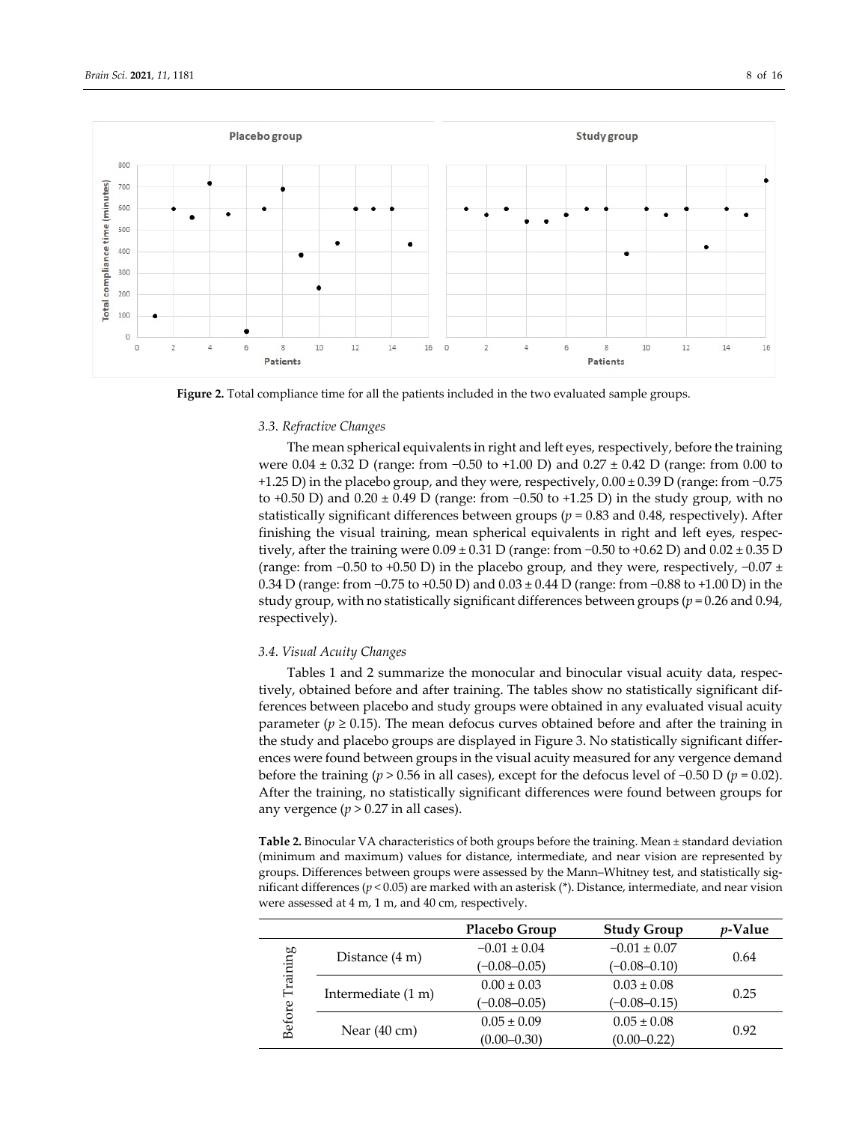

**Figure 2.** Total compliance time for all the patients included in the two evaluated sample groups.

#### *3.3. Refractive Changes*

The mean spherical equivalents in right and left eyes, respectively, before the training were 0.04 ± 0.32 D (range: from −0.50 to +1.00 D) and 0.27 ± 0.42 D (range: from 0.00 to +1.25 D) in the placebo group, and they were, respectively, 0.00 ± 0.39 D (range: from −0.75 to +0.50 D) and 0.20 ± 0.49 D (range: from −0.50 to +1.25 D) in the study group, with no statistically significant differences between groups (*p* = 0.83 and 0.48, respectively). After finishing the visual training, mean spherical equivalents in right and left eyes, respec‐ tively, after the training were  $0.09 \pm 0.31$  D (range: from -0.50 to +0.62 D) and  $0.02 \pm 0.35$  D (range: from  $-0.50$  to  $+0.50$  D) in the placebo group, and they were, respectively,  $-0.07 \pm 0.07$ 0.34 D (range: from −0.75 to +0.50 D) and 0.03 ± 0.44 D (range: from −0.88 to +1.00 D) in the study group, with no statistically significant differences between groups (*p* = 0.26 and 0.94, respectively).

#### *3.4. Visual Acuity Changes*

Tables 1 and 2 summarize the monocular and binocular visual acuity data, respec‐ tively, obtained before and after training. The tables show no statistically significant dif‐ ferences between placebo and study groups were obtained in any evaluated visual acuity parameter ( $p \ge 0.15$ ). The mean defocus curves obtained before and after the training in the study and placebo groups are displayed in Figure 3. No statistically significant differ‐ ences were found between groups in the visual acuity measured for any vergence demand before the training ( $p > 0.56$  in all cases), except for the defocus level of  $-0.50$  D ( $p = 0.02$ ). After the training, no statistically significant differences were found between groups for any vergence  $(p > 0.27$  in all cases).

**Table 2.** Binocular VA characteristics of both groups before the training. Mean ± standard deviation (minimum and maximum) values for distance, intermediate, and near vision are represented by groups. Differences between groups were assessed by the Mann-Whitney test, and statistically significant differences (*p* < 0.05) are marked with an asterisk (\*). Distance, intermediate, and near vision were assessed at 4 m, 1 m, and 40 cm, respectively.

|                    |                          | Placebo Group    | <b>Study Group</b> | <i>v</i> -Value |
|--------------------|--------------------------|------------------|--------------------|-----------------|
| Training<br>Before | Distance $(4 \text{ m})$ | $-0.01 \pm 0.04$ | $-0.01 \pm 0.07$   | 0.64            |
|                    |                          | $(-0.08 - 0.05)$ | $(-0.08 - 0.10)$   |                 |
|                    | Intermediate (1 m)       | $0.00 \pm 0.03$  | $0.03 \pm 0.08$    | 0.25            |
|                    |                          | $(-0.08 - 0.05)$ | $(-0.08 - 0.15)$   |                 |
|                    | Near $(40 \text{ cm})$   | $0.05 \pm 0.09$  | $0.05 \pm 0.08$    | 0.92            |
|                    |                          | $(0.00 - 0.30)$  | $(0.00 - 0.22)$    |                 |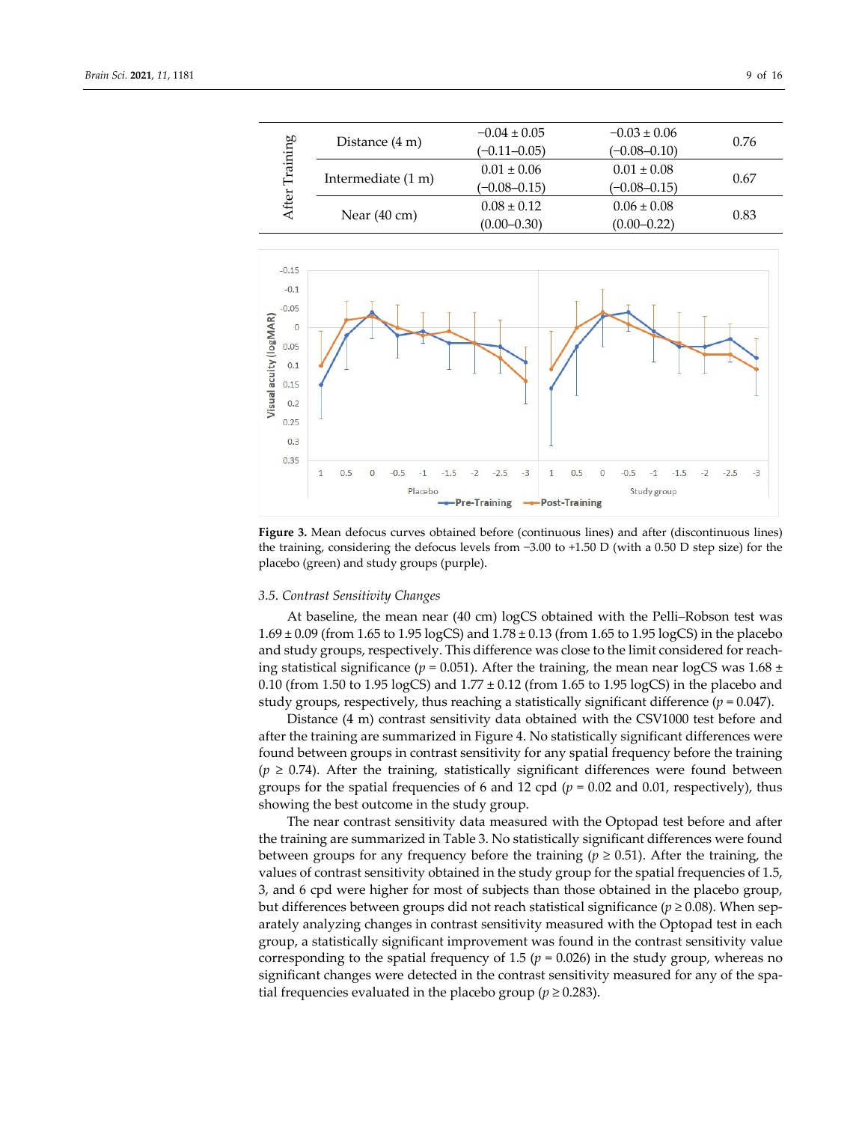| Training<br>After |                          | $-0.04 \pm 0.05$ | $-0.03 \pm 0.06$ | 0.76 |
|-------------------|--------------------------|------------------|------------------|------|
|                   | Distance $(4 \text{ m})$ | $(-0.11 - 0.05)$ | $(-0.08 - 0.10)$ |      |
|                   |                          | $0.01 \pm 0.06$  | $0.01 \pm 0.08$  | 0.67 |
|                   | Intermediate (1 m)       | $(-0.08 - 0.15)$ | $(-0.08 - 0.15)$ |      |
|                   |                          | $0.08 \pm 0.12$  | $0.06 \pm 0.08$  | 0.83 |
|                   | Near $(40 \text{ cm})$   | $(0.00 - 0.30)$  | $(0.00 - 0.22)$  |      |



**Figure 3.** Mean defocus curves obtained before (continuous lines) and after (discontinuous lines) the training, considering the defocus levels from −3.00 to +1.50 D (with a 0.50 D step size) for the placebo (green) and study groups (purple).

#### *3.5. Contrast Sensitivity Changes*

At baseline, the mean near (40 cm) logCS obtained with the Pelli–Robson test was 1.69 ± 0.09 (from 1.65 to 1.95 logCS) and 1.78 ± 0.13 (from 1.65 to 1.95 logCS) in the placebo and study groups, respectively. This difference was close to the limit considered for reaching statistical significance ( $p = 0.051$ ). After the training, the mean near logCS was 1.68 ± 0.10 (from 1.50 to 1.95 logCS) and  $1.77 \pm 0.12$  (from 1.65 to 1.95 logCS) in the placebo and study groups, respectively, thus reaching a statistically significant difference (*p* = 0.047).

Distance (4 m) contrast sensitivity data obtained with the CSV1000 test before and after the training are summarized in Figure 4. No statistically significant differences were found between groups in contrast sensitivity for any spatial frequency before the training  $(p \ge 0.74)$ . After the training, statistically significant differences were found between groups for the spatial frequencies of 6 and 12 cpd ( $p = 0.02$  and 0.01, respectively), thus showing the best outcome in the study group.

The near contrast sensitivity data measured with the Optopad test before and after the training are summarized in Table 3. No statistically significant differences were found between groups for any frequency before the training ( $p \ge 0.51$ ). After the training, the values of contrast sensitivity obtained in the study group for the spatial frequencies of 1.5, 3, and 6 cpd were higher for most of subjects than those obtained in the placebo group, but differences between groups did not reach statistical significance ( $p \ge 0.08$ ). When separately analyzing changes in contrast sensitivity measured with the Optopad test in each group, a statistically significant improvement was found in the contrast sensitivity value corresponding to the spatial frequency of 1.5 ( $p = 0.026$ ) in the study group, whereas no significant changes were detected in the contrast sensitivity measured for any of the spatial frequencies evaluated in the placebo group ( $p \ge 0.283$ ).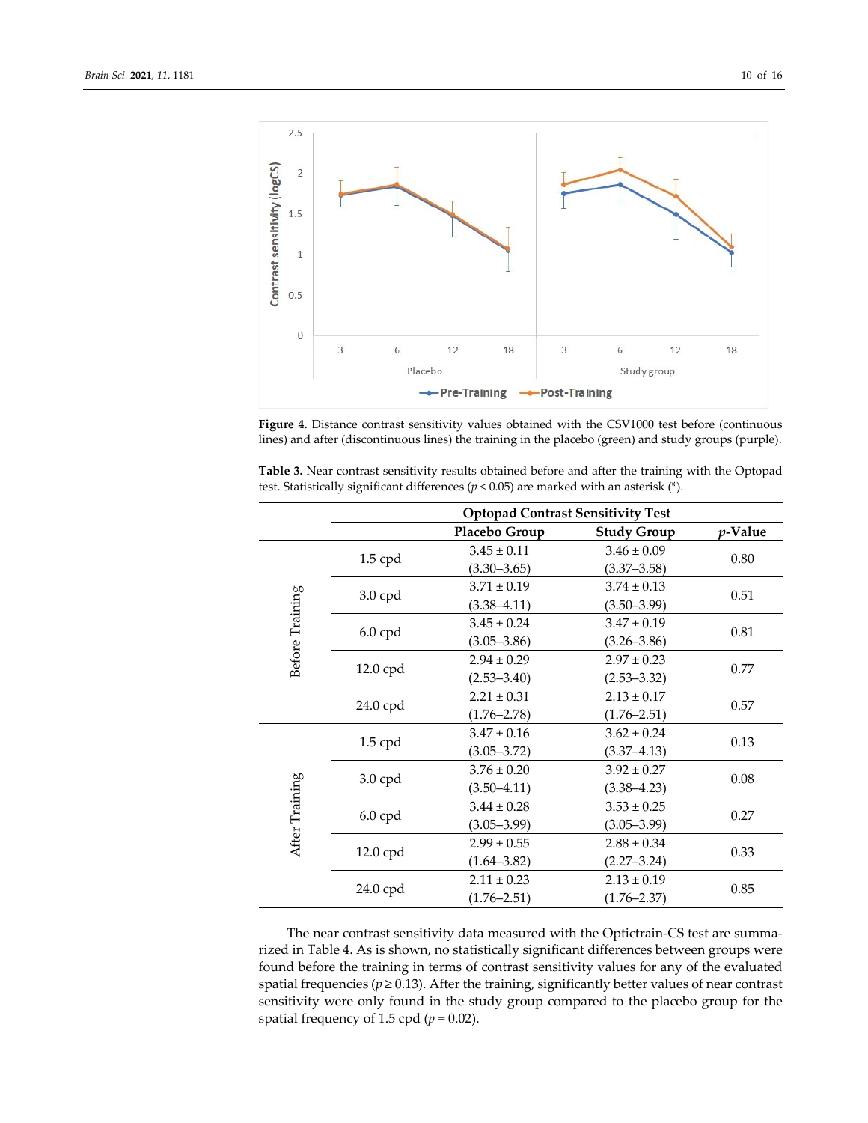

**Figure 4.** Distance contrast sensitivity values obtained with the CSV1000 test before (continuous lines) and after (discontinuous lines) the training in the placebo (green) and study groups (purple).

**Table 3.** Near contrast sensitivity results obtained before and after the training with the Optopad test. Statistically significant differences (*p* < 0.05) are marked with an asterisk (\*).

|                 | <b>Optopad Contrast Sensitivity Test</b> |                 |                    |         |
|-----------------|------------------------------------------|-----------------|--------------------|---------|
|                 |                                          | Placebo Group   | <b>Study Group</b> | p-Value |
| Before Training |                                          | $3.45 \pm 0.11$ | $3.46 \pm 0.09$    | 0.80    |
|                 | $1.5$ cpd                                | $(3.30 - 3.65)$ | $(3.37 - 3.58)$    |         |
|                 |                                          | $3.71 \pm 0.19$ | $3.74 \pm 0.13$    | 0.51    |
|                 | 3.0 cpd                                  | $(3.38 - 4.11)$ | $(3.50 - 3.99)$    |         |
|                 |                                          | $3.45 \pm 0.24$ | $3.47 \pm 0.19$    | 0.81    |
|                 | $6.0$ cpd                                | $(3.05 - 3.86)$ | $(3.26 - 3.86)$    |         |
|                 |                                          | $2.94 \pm 0.29$ | $2.97 \pm 0.23$    | 0.77    |
|                 | 12.0 cpd                                 | $(2.53 - 3.40)$ | $(2.53 - 3.32)$    |         |
|                 | 24.0 cpd                                 | $2.21 \pm 0.31$ | $2.13 \pm 0.17$    | 0.57    |
|                 |                                          | $(1.76 - 2.78)$ | $(1.76 - 2.51)$    |         |
|                 | $1.5$ cpd                                | $3.47 \pm 0.16$ | $3.62 \pm 0.24$    | 0.13    |
|                 |                                          | $(3.05 - 3.72)$ | $(3.37 - 4.13)$    |         |
|                 | $3.0$ cpd                                | $3.76 \pm 0.20$ | $3.92 \pm 0.27$    | 0.08    |
|                 |                                          | $(3.50 - 4.11)$ | $(3.38 - 4.23)$    |         |
|                 | $6.0$ cpd                                | $3.44 \pm 0.28$ | $3.53 \pm 0.25$    | 0.27    |
|                 |                                          | $(3.05 - 3.99)$ | $(3.05 - 3.99)$    |         |
| After Training  | 12.0 cpd                                 | $2.99 \pm 0.55$ | $2.88 \pm 0.34$    | 0.33    |
|                 |                                          | $(1.64 - 3.82)$ | $(2.27 - 3.24)$    |         |
|                 | 24.0 cpd                                 | $2.11 \pm 0.23$ | $2.13 \pm 0.19$    | 0.85    |
|                 |                                          | $(1.76 - 2.51)$ | $(1.76 - 2.37)$    |         |

The near contrast sensitivity data measured with the Optictrain‐CS test are summa‐ rized in Table 4. As is shown, no statistically significant differences between groups were found before the training in terms of contrast sensitivity values for any of the evaluated spatial frequencies ( $p \ge 0.13$ ). After the training, significantly better values of near contrast sensitivity were only found in the study group compared to the placebo group for the spatial frequency of 1.5 cpd  $(p = 0.02)$ .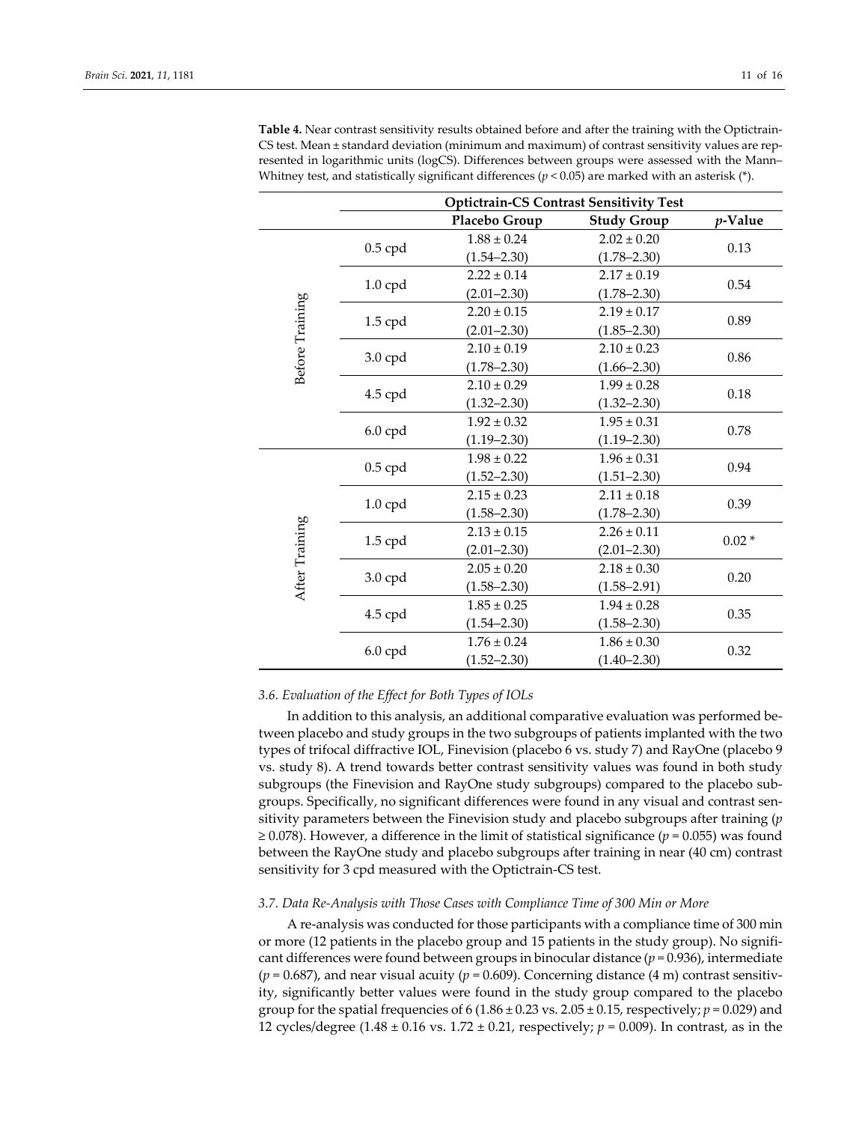|                 |                      | <b>Optictrain-CS Contrast Sensitivity Test</b> |                    |         |
|-----------------|----------------------|------------------------------------------------|--------------------|---------|
|                 |                      | Placebo Group                                  | <b>Study Group</b> | p-Value |
|                 | $0.5$ cpd            | $1.88 \pm 0.24$                                | $2.02 \pm 0.20$    | 0.13    |
|                 |                      | $(1.54 - 2.30)$                                | $(1.78 - 2.30)$    |         |
|                 |                      | $2.22 \pm 0.14$                                | $2.17 \pm 0.19$    | 0.54    |
|                 | $1.0$ cpd            | $(2.01 - 2.30)$                                | $(1.78 - 2.30)$    |         |
| Before Training |                      | $2.20 \pm 0.15$                                | $2.19 \pm 0.17$    | 0.89    |
|                 | $1.5$ cpd            | $(2.01 - 2.30)$                                | $(1.85 - 2.30)$    |         |
|                 |                      | $2.10 \pm 0.19$                                | $2.10 \pm 0.23$    |         |
|                 | $3.0$ cpd            | $(1.78 - 2.30)$                                | $(1.66 - 2.30)$    | 0.86    |
|                 |                      | $2.10 \pm 0.29$                                | $1.99 \pm 0.28$    | 0.18    |
|                 | 4.5 cpd              | $(1.32 - 2.30)$                                | $(1.32 - 2.30)$    |         |
|                 | $6.0$ cpd            | $1.92 \pm 0.32$                                | $1.95 \pm 0.31$    | 0.78    |
|                 |                      | $(1.19 - 2.30)$                                | $(1.19 - 2.30)$    |         |
|                 | $0.5$ cpd            | $1.98 \pm 0.22$                                | $1.96 \pm 0.31$    |         |
|                 |                      | $(1.52 - 2.30)$                                | $(1.51 - 2.30)$    | 0.94    |
|                 |                      | $2.15 \pm 0.23$                                | $2.11 \pm 0.18$    | 0.39    |
|                 | $1.0$ cpd            | $(1.58 - 2.30)$                                | $(1.78 - 2.30)$    |         |
|                 |                      | $2.13 \pm 0.15$                                | $2.26 \pm 0.11$    | $0.02*$ |
|                 | $1.5$ cpd            | $(2.01 - 2.30)$                                | $(2.01 - 2.30)$    |         |
| After Training  |                      | $2.05 \pm 0.20$                                | $2.18 \pm 0.30$    | 0.20    |
|                 | $3.0$ cpd            | $(1.58 - 2.30)$                                | $(1.58 - 2.91)$    |         |
|                 | 4.5 cpd<br>$6.0$ cpd | $1.85 \pm 0.25$                                | $1.94 \pm 0.28$    | 0.35    |
|                 |                      | $(1.54 - 2.30)$                                | $(1.58 - 2.30)$    |         |
|                 |                      | $1.76 \pm 0.24$                                | $1.86 \pm 0.30$    |         |
|                 |                      | $(1.52 - 2.30)$                                | $(1.40 - 2.30)$    | 0.32    |

**Table 4.** Near contrast sensitivity results obtained before and after the training with the Optictrain‐ CS test. Mean ± standard deviation (minimum and maximum) of contrast sensitivity values are represented in logarithmic units (logCS). Differences between groups were assessed with the Mann– Whitney test, and statistically significant differences ( $p < 0.05$ ) are marked with an asterisk (\*).

## *3.6. Evaluation of the Effect for Both Types of IOLs*

In addition to this analysis, an additional comparative evaluation was performed be‐ tween placebo and study groups in the two subgroups of patients implanted with the two types of trifocal diffractive IOL, Finevision (placebo 6 vs. study 7) and RayOne (placebo 9 vs. study 8). A trend towards better contrast sensitivity values was found in both study subgroups (the Finevision and RayOne study subgroups) compared to the placebo sub‐ groups. Specifically, no significant differences were found in any visual and contrast sensitivity parameters between the Finevision study and placebo subgroups after training (*p* ≥ 0.078). However, a difference in the limit of statistical significance ( $p = 0.055$ ) was found between the RayOne study and placebo subgroups after training in near (40 cm) contrast sensitivity for 3 cpd measured with the Optictrain‐CS test.

## *3.7. Data Re‐Analysis with Those Cases with Compliance Time of 300 Min or More*

A re‐analysis was conducted forthose participants with a compliance time of 300 min or more (12 patients in the placebo group and 15 patients in the study group). No signifi‐ cant differences were found between groups in binocular distance (*p* = 0.936), intermediate  $(p = 0.687)$ , and near visual acuity  $(p = 0.609)$ . Concerning distance  $(4 \text{ m})$  contrast sensitivity, significantly better values were found in the study group compared to the placebo group for the spatial frequencies of 6 (1.86  $\pm$  0.23 vs. 2.05  $\pm$  0.15, respectively;  $p$  = 0.029) and 12 cycles/degree (1.48 ± 0.16 vs. 1.72 ± 0.21, respectively; *p* = 0.009). In contrast, as in the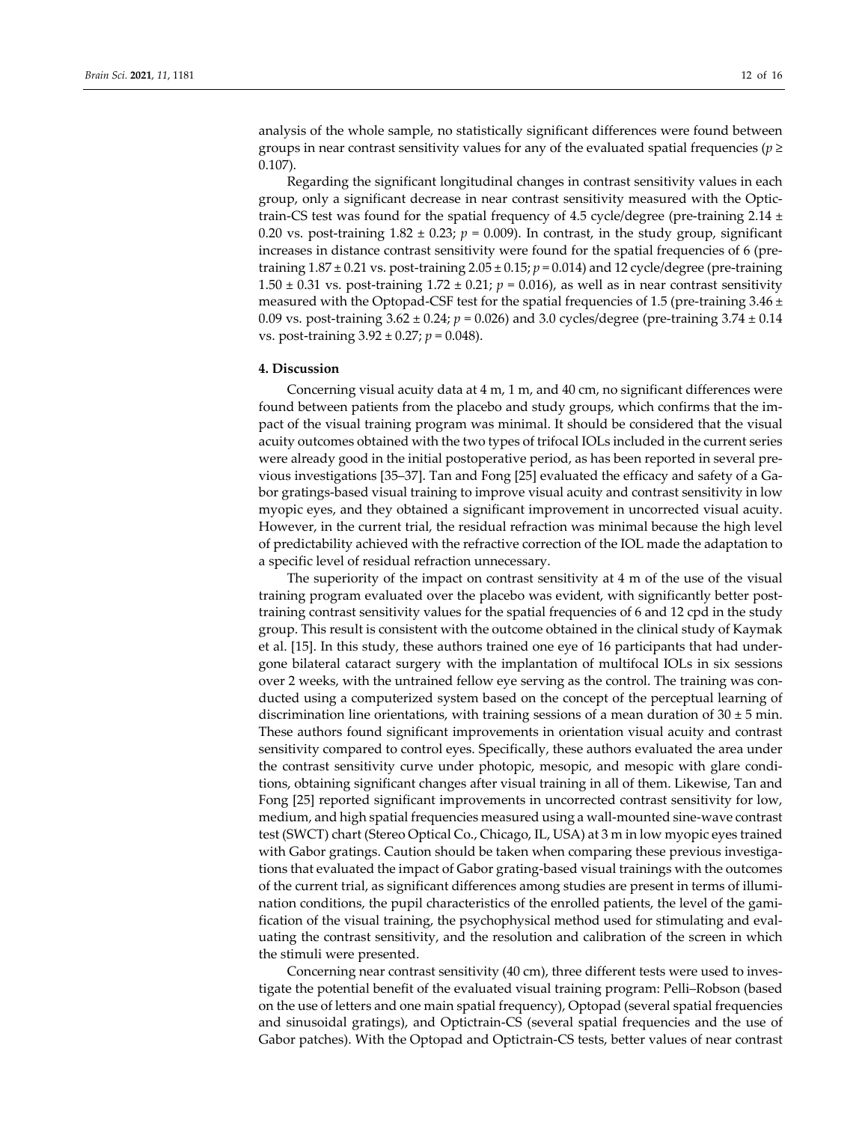analysis of the whole sample, no statistically significant differences were found between groups in near contrast sensitivity values for any of the evaluated spatial frequencies ( $p \geq$ 0.107).

Regarding the significant longitudinal changes in contrast sensitivity values in each group, only a significant decrease in near contrast sensitivity measured with the Optic‐ train-CS test was found for the spatial frequency of 4.5 cycle/degree (pre-training 2.14  $\pm$ 0.20 vs. post-training  $1.82 \pm 0.23$ ;  $p = 0.009$ ). In contrast, in the study group, significant increases in distance contrast sensitivity were found for the spatial frequencies of 6 (pretraining  $1.87 \pm 0.21$  vs. post-training  $2.05 \pm 0.15$ ;  $p = 0.014$ ) and  $12$  cycle/degree (pre-training 1.50  $\pm$  0.31 vs. post-training 1.72  $\pm$  0.21; *p* = 0.016), as well as in near contrast sensitivity measured with the Optopad-CSF test for the spatial frequencies of 1.5 (pre-training  $3.46 \pm$ 0.09 vs. post‐training 3.62 ± 0.24; *p* = 0.026) and 3.0 cycles/degree (pre‐training 3.74 ± 0.14 vs. post‐training 3.92 ± 0.27; *p* = 0.048).

#### **4. Discussion**

Concerning visual acuity data at 4 m, 1 m, and 40 cm, no significant differences were found between patients from the placebo and study groups, which confirms that the im‐ pact of the visual training program was minimal. It should be considered that the visual acuity outcomes obtained with the two types of trifocal IOLs included in the current series were already good in the initial postoperative period, as has been reported in several pre‐ vious investigations [35–37]. Tan and Fong [25] evaluated the efficacy and safety of a Ga‐ bor gratings‐based visual training to improve visual acuity and contrast sensitivity in low myopic eyes, and they obtained a significant improvement in uncorrected visual acuity. However, in the current trial, the residual refraction was minimal because the high level of predictability achieved with the refractive correction of the IOL made the adaptation to a specific level of residual refraction unnecessary.

The superiority of the impact on contrast sensitivity at 4 m of the use of the visual training program evaluated over the placebo was evident, with significantly better post‐ training contrast sensitivity values for the spatial frequencies of 6 and 12 cpd in the study group. This result is consistent with the outcome obtained in the clinical study of Kaymak et al. [15]. In this study, these authors trained one eye of 16 participants that had under‐ gone bilateral cataract surgery with the implantation of multifocal IOLs in six sessions over 2 weeks, with the untrained fellow eye serving as the control. The training was conducted using a computerized system based on the concept of the perceptual learning of discrimination line orientations, with training sessions of a mean duration of  $30 \pm 5$  min. These authors found significant improvements in orientation visual acuity and contrast sensitivity compared to control eyes. Specifically, these authors evaluated the area under the contrast sensitivity curve under photopic, mesopic, and mesopic with glare condi‐ tions, obtaining significant changes after visual training in all of them. Likewise, Tan and Fong [25] reported significant improvements in uncorrected contrast sensitivity for low, medium, and high spatial frequencies measured using a wall‐mounted sine‐wave contrast test (SWCT) chart (Stereo Optical Co., Chicago, IL, USA) at 3 m in low myopic eyes trained with Gabor gratings. Caution should be taken when comparing these previous investigations that evaluated the impact of Gabor grating‐based visual trainings with the outcomes of the current trial, as significant differences among studies are present in terms of illumi‐ nation conditions, the pupil characteristics of the enrolled patients, the level of the gamification of the visual training, the psychophysical method used for stimulating and eval‐ uating the contrast sensitivity, and the resolution and calibration of the screen in which the stimuli were presented.

Concerning near contrast sensitivity (40 cm), three different tests were used to inves‐ tigate the potential benefit of the evaluated visual training program: Pelli–Robson (based on the use of letters and one main spatial frequency), Optopad (several spatial frequencies and sinusoidal gratings), and Optictrain‐CS (several spatial frequencies and the use of Gabor patches). With the Optopad and Optictrain‐CS tests, better values of near contrast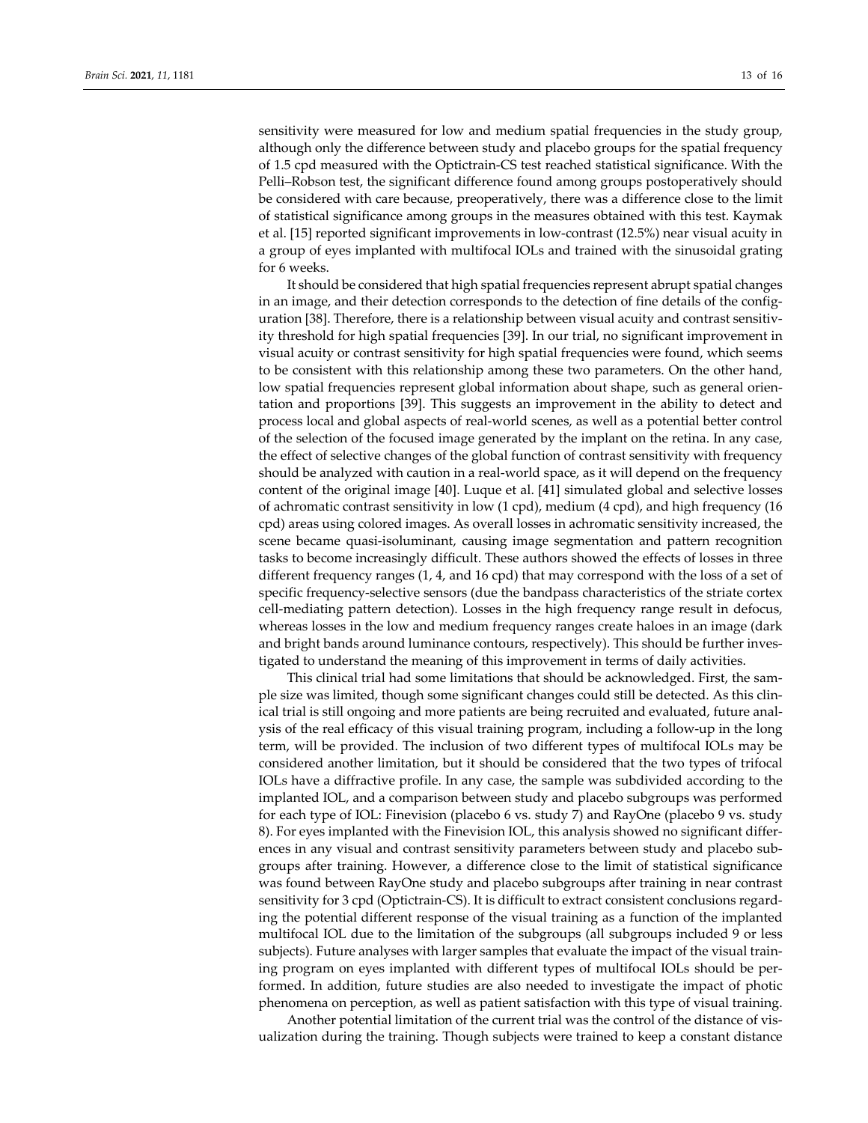sensitivity were measured for low and medium spatial frequencies in the study group, although only the difference between study and placebo groups for the spatial frequency of 1.5 cpd measured with the Optictrain‐CS test reached statistical significance. With the Pelli–Robson test, the significant difference found among groups postoperatively should be considered with care because, preoperatively, there was a difference close to the limit of statistical significance among groups in the measures obtained with this test. Kaymak et al. [15] reported significant improvements in low‐contrast (12.5%) near visual acuity in a group of eyes implanted with multifocal IOLs and trained with the sinusoidal grating for 6 weeks.

It should be considered that high spatial frequencies represent abrupt spatial changes in an image, and their detection corresponds to the detection of fine details of the configuration [38]. Therefore, there is a relationship between visual acuity and contrast sensitiv‐ ity threshold for high spatial frequencies [39]. In our trial, no significant improvement in visual acuity or contrast sensitivity for high spatial frequencies were found, which seems to be consistent with this relationship among these two parameters. On the other hand, low spatial frequencies represent global information about shape, such as general orientation and proportions [39]. This suggests an improvement in the ability to detect and process local and global aspects of real‐world scenes, as well as a potential better control of the selection of the focused image generated by the implant on the retina. In any case, the effect of selective changes of the global function of contrast sensitivity with frequency should be analyzed with caution in a real-world space, as it will depend on the frequency content of the original image [40]. Luque et al. [41] simulated global and selective losses of achromatic contrast sensitivity in low (1 cpd), medium (4 cpd), and high frequency (16 cpd) areas using colored images. As overall losses in achromatic sensitivity increased, the scene became quasi‐isoluminant, causing image segmentation and pattern recognition tasks to become increasingly difficult. These authors showed the effects of losses in three different frequency ranges (1, 4, and 16 cpd) that may correspond with the loss of a set of specific frequency-selective sensors (due the bandpass characteristics of the striate cortex cell‐mediating pattern detection). Losses in the high frequency range result in defocus, whereas losses in the low and medium frequency ranges create haloes in an image (dark and bright bands around luminance contours, respectively). This should be further investigated to understand the meaning of this improvement in terms of daily activities.

This clinical trial had some limitations that should be acknowledged. First, the sam‐ ple size was limited, though some significant changes could still be detected. As this clin‐ ical trial is still ongoing and more patients are being recruited and evaluated, future anal‐ ysis of the real efficacy of this visual training program, including a follow‐up in the long term, will be provided. The inclusion of two different types of multifocal IOLs may be considered another limitation, but it should be considered that the two types of trifocal IOLs have a diffractive profile. In any case, the sample was subdivided according to the implanted IOL, and a comparison between study and placebo subgroups was performed for each type of IOL: Finevision (placebo 6 vs. study 7) and RayOne (placebo 9 vs. study 8). For eyes implanted with the Finevision IOL, this analysis showed no significant differ‐ ences in any visual and contrast sensitivity parameters between study and placebo sub‐ groups after training. However, a difference close to the limit of statistical significance was found between RayOne study and placebo subgroups after training in near contrast sensitivity for 3 cpd (Optictrain-CS). It is difficult to extract consistent conclusions regarding the potential different response of the visual training as a function of the implanted multifocal IOL due to the limitation of the subgroups (all subgroups included 9 or less subjects). Future analyses with larger samples that evaluate the impact of the visual train‐ ing program on eyes implanted with different types of multifocal IOLs should be per‐ formed. In addition, future studies are also needed to investigate the impact of photic phenomena on perception, as well as patient satisfaction with this type of visual training.

Another potential limitation of the current trial was the control of the distance of vis‐ ualization during the training. Though subjects were trained to keep a constant distance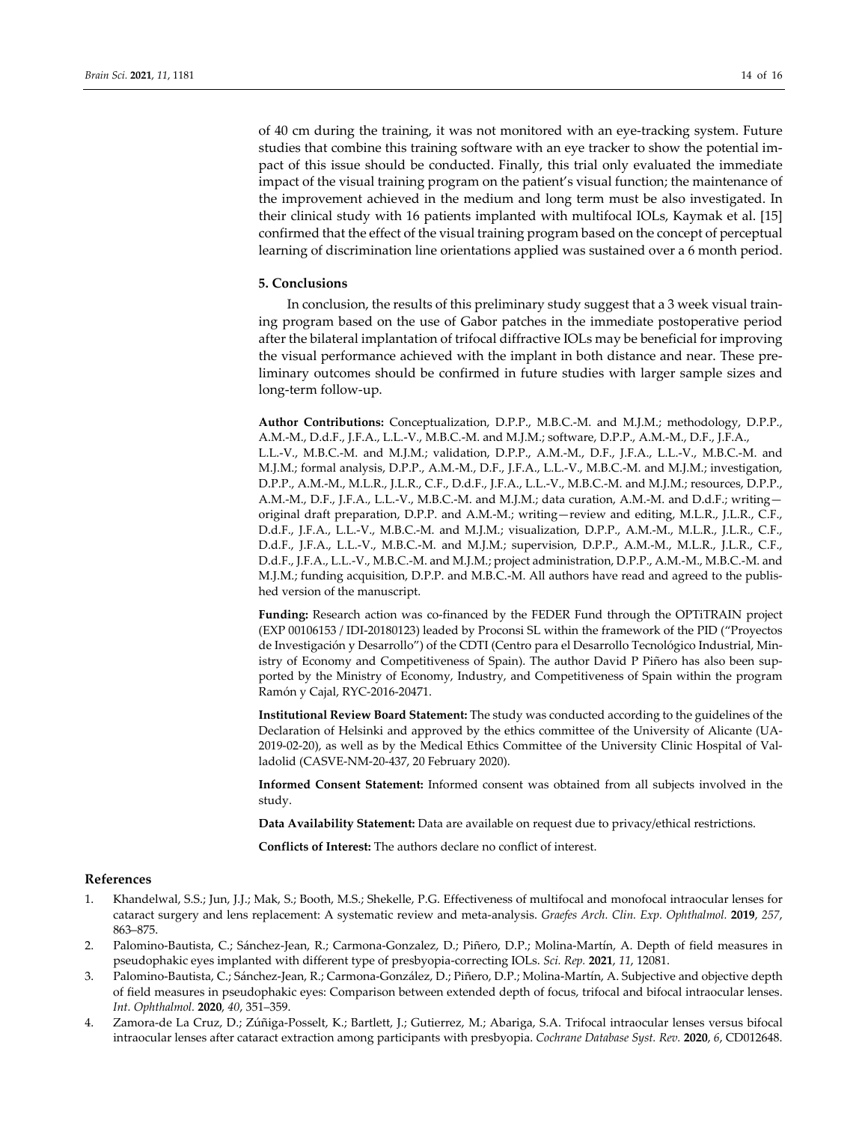of 40 cm during the training, it was not monitored with an eye‐tracking system. Future studies that combine this training software with an eye tracker to show the potential im‐ pact of this issue should be conducted. Finally, this trial only evaluated the immediate impact of the visual training program on the patient's visual function; the maintenance of the improvement achieved in the medium and long term must be also investigated. In their clinical study with 16 patients implanted with multifocal IOLs, Kaymak et al. [15] confirmed that the effect of the visual training program based on the concept of perceptual learning of discrimination line orientations applied was sustained over a 6 month period.

#### **5. Conclusions**

In conclusion, the results of this preliminary study suggest that a 3 week visual train‐ ing program based on the use of Gabor patches in the immediate postoperative period after the bilateral implantation of trifocal diffractive IOLs may be beneficial for improving the visual performance achieved with the implant in both distance and near. These pre‐ liminary outcomes should be confirmed in future studies with larger sample sizes and long‐term follow‐up.

**Author Contributions:** Conceptualization, D.P.P., M.B.C.‐M. and M.J.M.; methodology, D.P.P., A.M.‐M., D.d.F., J.F.A., L.L.‐V., M.B.C.‐M. and M.J.M.; software, D.P.P., A.M.‐M., D.F., J.F.A., L.L.‐V., M.B.C.‐M. and M.J.M.; validation, D.P.P., A.M.‐M., D.F., J.F.A., L.L.‐V., M.B.C.‐M. and M.J.M.; formal analysis, D.P.P., A.M.‐M., D.F., J.F.A., L.L.‐V., M.B.C.‐M. and M.J.M.; investigation, D.P.P., A.M.‐M., M.L.R., J.L.R., C.F., D.d.F., J.F.A., L.L.‐V., M.B.C.‐M. and M.J.M.; resources, D.P.P., A.M.‐M., D.F., J.F.A., L.L.‐V., M.B.C.‐M. and M.J.M.; data curation, A.M.‐M. and D.d.F.; writing original draft preparation, D.P.P. and A.M.‐M.; writing—review and editing, M.L.R., J.L.R., C.F., D.d.F., J.F.A., L.L.‐V., M.B.C.‐M. and M.J.M.; visualization, D.P.P., A.M.‐M., M.L.R., J.L.R., C.F., D.d.F., J.F.A., L.L.-V., M.B.C.-M. and M.J.M.; supervision, D.P.P., A.M.-M., M.L.R., J.L.R., C.F., D.d.F., J.F.A., L.L.‐V., M.B.C.‐M. and M.J.M.; project administration, D.P.P., A.M.‐M., M.B.C.‐M. and M.J.M.; funding acquisition, D.P.P. and M.B.C.-M. All authors have read and agreed to the published version of the manuscript.

Funding: Research action was co-financed by the FEDER Fund through the OPTITRAIN project (EXP 00106153 / IDI‐20180123) leaded by Proconsi SL within the framework of the PID ("Proyectos de Investigación y Desarrollo") of the CDTI (Centro para el Desarrollo Tecnológico Industrial, Min‐ istry of Economy and Competitiveness of Spain). The author David P Piñero has also been supported by the Ministry of Economy, Industry, and Competitiveness of Spain within the program Ramón y Cajal, RYC‐2016‐20471.

**Institutional Review Board Statement:** The study was conducted according to the guidelines of the Declaration of Helsinki and approved by the ethics committee of the University of Alicante (UA‐ 2019-02-20), as well as by the Medical Ethics Committee of the University Clinic Hospital of Valladolid (CASVE‐NM‐20‐437, 20 February 2020).

**Informed Consent Statement:** Informed consent was obtained from all subjects involved in the study.

**Data Availability Statement:** Data are available on request due to privacy/ethical restrictions.

**Conflicts of Interest:** The authors declare no conflict of interest.

## **References**

- 1. Khandelwal, S.S.; Jun, J.J.; Mak, S.; Booth, M.S.; Shekelle, P.G. Effectiveness of multifocal and monofocal intraocular lenses for cataract surgery and lens replacement: A systematic review and meta‐analysis. *Graefes Arch. Clin. Exp. Ophthalmol.* **2019**, *257*, 863–875.
- 2. Palomino‐Bautista, C.; Sánchez‐Jean, R.; Carmona‐Gonzalez, D.; Piñero, D.P.; Molina‐Martín, A. Depth of field measures in pseudophakic eyes implanted with different type of presbyopia‐correcting IOLs. *Sci. Rep.* **2021**, *11*, 12081.
- 3. Palomino‐Bautista, C.; Sánchez‐Jean, R.; Carmona‐González, D.; Piñero, D.P.; Molina‐Martín, A. Subjective and objective depth of field measures in pseudophakic eyes: Comparison between extended depth of focus, trifocal and bifocal intraocular lenses. *Int. Ophthalmol.* **2020**, *40*, 351–359.
- 4. Zamora‐de La Cruz, D.; Zúñiga‐Posselt, K.; Bartlett, J.; Gutierrez, M.; Abariga, S.A. Trifocal intraocular lenses versus bifocal intraocular lenses after cataract extraction among participants with presbyopia. *Cochrane Database Syst. Rev.* **2020**, *6*, CD012648.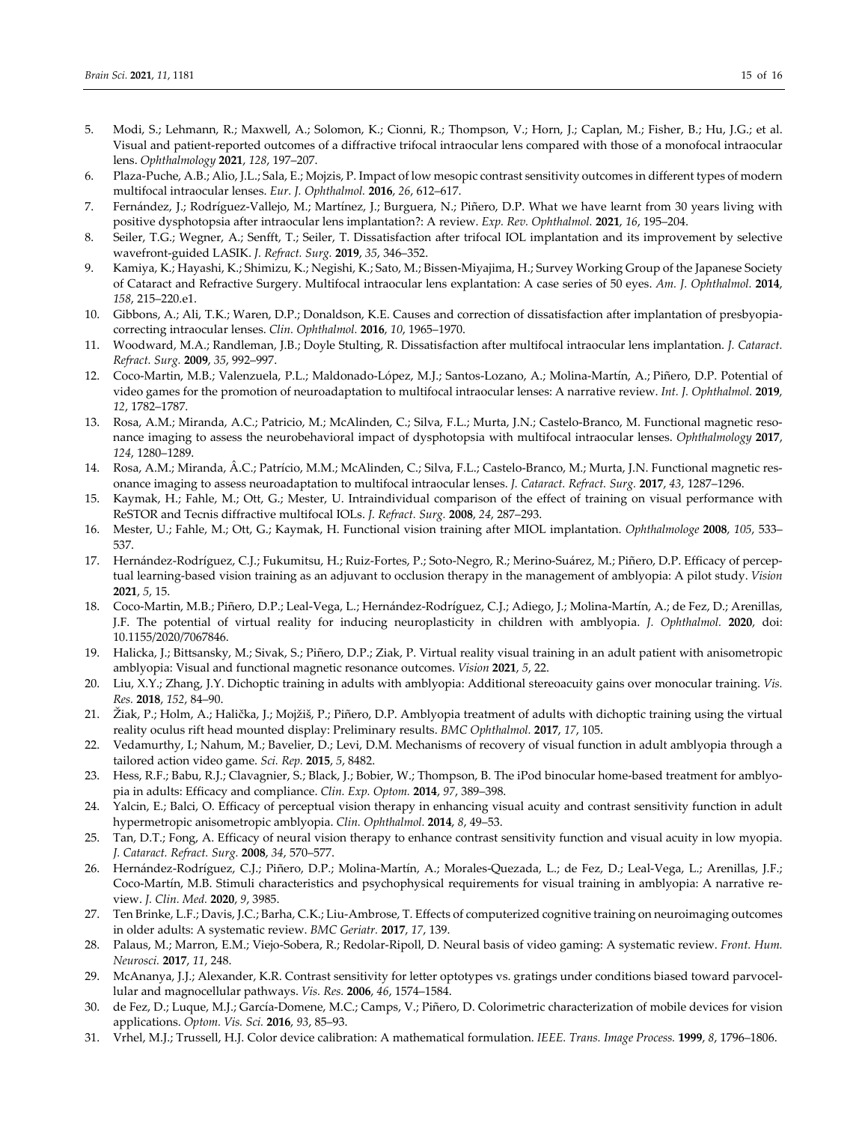- 5. Modi, S.; Lehmann, R.; Maxwell, A.; Solomon, K.; Cionni, R.; Thompson, V.; Horn, J.; Caplan, M.; Fisher, B.; Hu, J.G.; et al. Visual and patient‐reported outcomes of a diffractive trifocal intraocular lens compared with those of a monofocal intraocular lens. *Ophthalmology* **2021**, *128*, 197–207.
- 6. Plaza‐Puche, A.B.; Alio, J.L.; Sala, E.; Mojzis, P. Impact of low mesopic contrast sensitivity outcomes in different types of modern multifocal intraocular lenses. *Eur. J. Ophthalmol.* **2016**, *26*, 612–617.
- 7. Fernández, J.; Rodríguez‐Vallejo, M.; Martínez, J.; Burguera, N.; Piñero, D.P. What we have learnt from 30 years living with positive dysphotopsia after intraocular lens implantation?: A review. *Exp. Rev. Ophthalmol.* **2021**, *16*, 195–204.
- 8. Seiler, T.G.; Wegner, A.; Senfft, T.; Seiler, T. Dissatisfaction after trifocal IOL implantation and its improvement by selective wavefront‐guided LASIK. *J. Refract. Surg.* **2019**, *35*, 346–352.
- 9. Kamiya, K.; Hayashi, K.; Shimizu, K.; Negishi, K.; Sato, M.; Bissen‐Miyajima, H.; Survey Working Group of the Japanese Society of Cataract and Refractive Surgery. Multifocal intraocular lens explantation: A case series of 50 eyes. *Am. J. Ophthalmol.* **2014**, *158*, 215–220.e1.
- 10. Gibbons, A.; Ali, T.K.; Waren, D.P.; Donaldson, K.E. Causes and correction of dissatisfaction after implantation of presbyopia‐ correcting intraocular lenses. *Clin. Ophthalmol.* **2016**, *10*, 1965–1970.
- 11. Woodward, M.A.; Randleman, J.B.; Doyle Stulting, R. Dissatisfaction after multifocal intraocular lens implantation. *J. Cataract. Refract. Surg.* **2009**, *35*, 992–997.
- 12. Coco‐Martin, M.B.; Valenzuela, P.L.; Maldonado‐López, M.J.; Santos‐Lozano, A.; Molina‐Martín, A.; Piñero, D.P. Potential of video games for the promotion of neuroadaptation to multifocal intraocular lenses: A narrative review. *Int. J. Ophthalmol.* **2019**, *12*, 1782–1787.
- 13. Rosa, A.M.; Miranda, A.C.; Patricio, M.; McAlinden, C.; Silva, F.L.; Murta, J.N.; Castelo-Branco, M. Functional magnetic resonance imaging to assess the neurobehavioral impact of dysphotopsia with multifocal intraocular lenses. *Ophthalmology* **2017**, *124*, 1280–1289.
- 14. Rosa, A.M.; Miranda, Â.C.; Patrício, M.M.; McAlinden, C.; Silva, F.L.; Castelo‐Branco, M.; Murta, J.N. Functional magnetic res‐ onance imaging to assess neuroadaptation to multifocal intraocular lenses. *J. Cataract. Refract. Surg.* **2017**, *43*, 1287–1296.
- 15. Kaymak, H.; Fahle, M.; Ott, G.; Mester, U. Intraindividual comparison of the effect of training on visual performance with ReSTOR and Tecnis diffractive multifocal IOLs. *J. Refract. Surg.* **2008**, *24*, 287–293.
- 16. Mester, U.; Fahle, M.; Ott, G.; Kaymak, H. Functional vision training after MIOL implantation. *Ophthalmologe* **2008**, *105*, 533– 537.
- 17. Hernández-Rodríguez, C.J.; Fukumitsu, H.; Ruiz-Fortes, P.; Soto-Negro, R.; Merino-Suárez, M.; Piñero, D.P. Efficacy of perceptual learning‐based vision training as an adjuvant to occlusion therapy in the management of amblyopia: A pilot study. *Vision* **2021**, *5*, 15.
- 18. Coco‐Martin, M.B.; Piñero, D.P.; Leal‐Vega, L.; Hernández‐Rodríguez, C.J.; Adiego, J.; Molina‐Martín, A.; de Fez, D.; Arenillas, J.F. The potential of virtual reality for inducing neuroplasticity in children with amblyopia. *J. Ophthalmol.* **2020**, doi: 10.1155/2020/7067846.
- 19. Halicka, J.; Bittsansky, M.; Sivak, S.; Piñero, D.P.; Ziak, P. Virtual reality visual training in an adult patient with anisometropic amblyopia: Visual and functional magnetic resonance outcomes. *Vision* **2021**, *5*, 22.
- 20. Liu, X.Y.; Zhang, J.Y. Dichoptic training in adults with amblyopia: Additional stereoacuity gains over monocular training. *Vis. Res.* **2018**, *152*, 84–90.
- 21. Žiak, P.; Holm, A.; Halička, J.; Mojžiš, P.; Piñero, D.P. Amblyopia treatment of adults with dichoptic training using the virtual reality oculus rift head mounted display: Preliminary results. *BMC Ophthalmol.* **2017**, *17*, 105.
- 22. Vedamurthy, I.; Nahum, M.; Bavelier, D.; Levi, D.M. Mechanisms of recovery of visual function in adult amblyopia through a tailored action video game. *Sci. Rep.* **2015**, *5*, 8482.
- 23. Hess, R.F.; Babu, R.J.; Clavagnier, S.; Black, J.; Bobier, W.; Thompson, B. The iPod binocular home-based treatment for amblyopia in adults: Efficacy and compliance. *Clin. Exp. Optom.* **2014**, *97*, 389–398.
- 24. Yalcin, E.; Balci, O. Efficacy of perceptual vision therapy in enhancing visual acuity and contrast sensitivity function in adult hypermetropic anisometropic amblyopia. *Clin. Ophthalmol.* **2014**, *8*, 49–53.
- 25. Tan, D.T.; Fong, A. Efficacy of neural vision therapy to enhance contrast sensitivity function and visual acuity in low myopia. *J. Cataract. Refract. Surg.* **2008**, *34*, 570–577.
- 26. Hernández‐Rodríguez, C.J.; Piñero, D.P.; Molina‐Martín, A.; Morales‐Quezada, L.; de Fez, D.; Leal‐Vega, L.; Arenillas, J.F.; Coco-Martín, M.B. Stimuli characteristics and psychophysical requirements for visual training in amblyopia: A narrative review. *J. Clin. Med.* **2020**, *9*, 3985.
- 27. Ten Brinke, L.F.; Davis, J.C.; Barha, C.K.; Liu‐Ambrose, T. Effects of computerized cognitive training on neuroimaging outcomes in older adults: A systematic review. *BMC Geriatr.* **2017**, *17*, 139.
- 28. Palaus, M.; Marron, E.M.; Viejo‐Sobera, R.; Redolar‐Ripoll, D. Neural basis of video gaming: A systematic review. *Front. Hum. Neurosci.* **2017**, *11*, 248.
- 29. McAnanya, J.J.; Alexander, K.R. Contrast sensitivity for letter optotypes vs. gratings under conditions biased toward parvocellular and magnocellular pathways. *Vis. Res.* **2006**, *46*, 1574–1584.
- 30. de Fez, D.; Luque, M.J.; García‐Domene, M.C.; Camps, V.; Piñero, D. Colorimetric characterization of mobile devices for vision applications. *Optom. Vis. Sci.* **2016**, *93*, 85–93.
- 31. Vrhel, M.J.; Trussell, H.J. Color device calibration: A mathematical formulation. *IEEE. Trans. Image Process.* **1999**, *8*, 1796–1806.